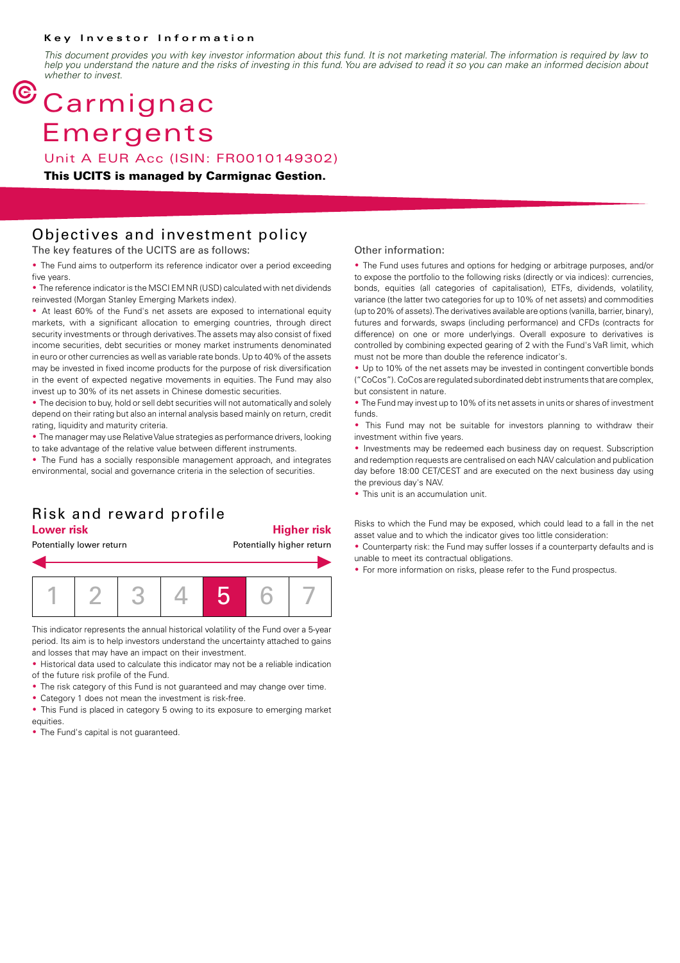#### **Key Investor Information**

*This document provides you with key investor information about this fund. It is not marketing material. The information is required by law to help you understand the nature and the risks of investing in this fund. You are advised to read it so you can make an informed decision about whether to invest.*

# $<sup>©</sup> Carmignac$ </sup> Emergents

Unit A EUR Acc (ISIN: FR0010149302)

**This UCITS is managed by Carmignac Gestion.**

### Objectives and investment policy

The key features of the UCITS are as follows:

• The Fund aims to outperform its reference indicator over a period exceeding five years.

• The reference indicator is the MSCI EM NR (USD) calculated with net dividends reinvested (Morgan Stanley Emerging Markets index).

• At least 60% of the Fund's net assets are exposed to international equity markets, with a significant allocation to emerging countries, through direct security investments or through derivatives. The assets may also consist of fixed income securities, debt securities or money market instruments denominated in euro or other currencies as well as variable rate bonds. Up to 40% of the assets may be invested in fixed income products for the purpose of risk diversification in the event of expected negative movements in equities. The Fund may also invest up to 30% of its net assets in Chinese domestic securities.

• The decision to buy, hold or sell debt securities will not automatically and solely depend on their rating but also an internal analysis based mainly on return, credit rating, liquidity and maturity criteria.

• The manager may use Relative Value strategies as performance drivers, looking to take advantage of the relative value between different instruments.

• The Fund has a socially responsible management approach, and integrates environmental, social and governance criteria in the selection of securities.

### Risk and reward profile

### **Lower risk Higher risk**

Potentially lower return **Potentially higher return** 1 2 3 4 5 6 7

This indicator represents the annual historical volatility of the Fund over a 5-year period. Its aim is to help investors understand the uncertainty attached to gains and losses that may have an impact on their investment.

• Historical data used to calculate this indicator may not be a reliable indication of the future risk profile of the Fund.

- The risk category of this Fund is not guaranteed and may change over time.
- Category 1 does not mean the investment is risk-free.

• This Fund is placed in category 5 owing to its exposure to emerging market equities.

• The Fund's capital is not quaranteed.

#### Other information:

• The Fund uses futures and options for hedging or arbitrage purposes, and/or to expose the portfolio to the following risks (directly or via indices): currencies, bonds, equities (all categories of capitalisation), ETFs, dividends, volatility, variance (the latter two categories for up to 10% of net assets) and commodities (up to 20% of assets). The derivatives available are options (vanilla, barrier, binary), futures and forwards, swaps (including performance) and CFDs (contracts for difference) on one or more underlyings. Overall exposure to derivatives is controlled by combining expected gearing of 2 with the Fund's VaR limit, which must not be more than double the reference indicator's.

• Up to 10% of the net assets may be invested in contingent convertible bonds ("CoCos"). CoCos are regulated subordinated debt instruments that are complex, but consistent in nature.

• The Fund may invest up to 10% of its net assets in units or shares of investment funds.

• This Fund may not be suitable for investors planning to withdraw their investment within five years.

• Investments may be redeemed each business day on request. Subscription and redemption requests are centralised on each NAV calculation and publication day before 18:00 CET/CEST and are executed on the next business day using the previous day's NAV.

• This unit is an accumulation unit.

Risks to which the Fund may be exposed, which could lead to a fall in the net asset value and to which the indicator gives too little consideration:

• Counterparty risk: the Fund may suffer losses if a counterparty defaults and is unable to meet its contractual obligations.

• For more information on risks, please refer to the Fund prospectus.